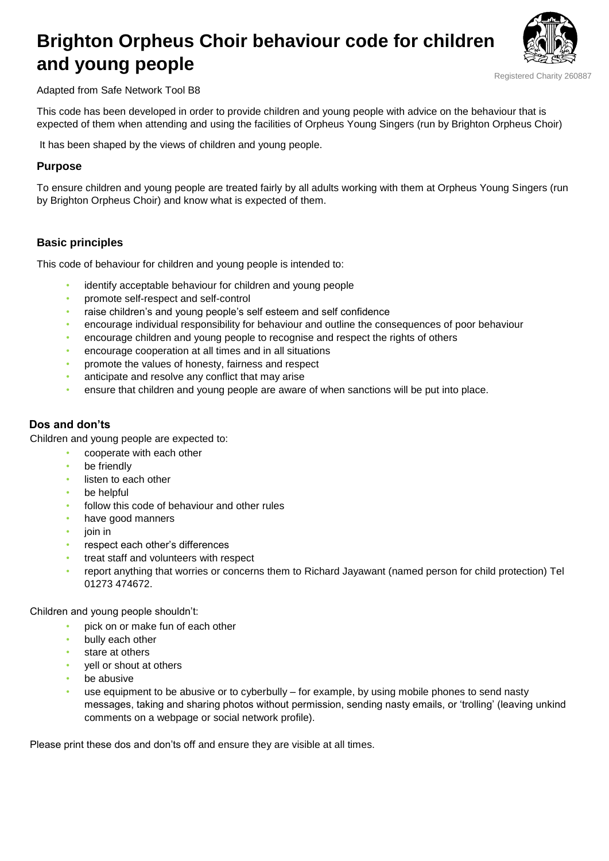# **Brighton Orpheus Choir behaviour code for children and young people**



Registered Charity 260887

Adapted from Safe Network Tool B8

This code has been developed in order to provide children and young people with advice on the behaviour that is expected of them when attending and using the facilities of Orpheus Young Singers (run by Brighton Orpheus Choir)

It has been shaped by the views of children and young people.

### **Purpose**

To ensure children and young people are treated fairly by all adults working with them at Orpheus Young Singers (run by Brighton Orpheus Choir) and know what is expected of them.

## **Basic principles**

This code of behaviour for children and young people is intended to:

- identify acceptable behaviour for children and young people
- promote self-respect and self-control
- raise children's and young people's self esteem and self confidence
- encourage individual responsibility for behaviour and outline the consequences of poor behaviour
- encourage children and young people to recognise and respect the rights of others
- encourage cooperation at all times and in all situations
- promote the values of honesty, fairness and respect
- anticipate and resolve any conflict that may arise
- ensure that children and young people are aware of when sanctions will be put into place.

## **Dos and don'ts**

Children and young people are expected to:

- cooperate with each other
- be friendly
- listen to each other
- be helpful
- follow this code of behaviour and other rules
- have good manners
- join in
- respect each other's differences
- treat staff and volunteers with respect
- report anything that worries or concerns them to Richard Jayawant (named person for child protection) Tel 01273 474672.

Children and young people shouldn't:

- pick on or make fun of each other
- bully each other
- stare at others
- yell or shout at others
- be abusive
- use equipment to be abusive or to cyberbully for example, by using mobile phones to send nasty messages, taking and sharing photos without permission, sending nasty emails, or 'trolling' (leaving unkind comments on a webpage or social network profile).

Please print these dos and don'ts off and ensure they are visible at all times.